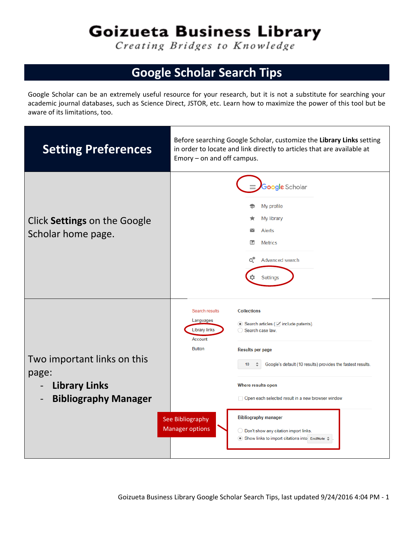## Goizueta Business Library

Creating Bridges to Knowledge

## **Google Scholar Search Tips**

Google Scholar can be an extremely useful resource for your research, but it is not a substitute for searching your academic journal databases, such as Science Direct, JSTOR, etc. Learn how to maximize the power of this tool but be aware of its limitations, too.

| <b>Setting Preferences</b>                                                                                              | Before searching Google Scholar, customize the Library Links setting<br>in order to locate and link directly to articles that are available at<br>$Emory - on$ and off campus.                                                                                                                                                                                                                                                                                                                                                                                   |  |
|-------------------------------------------------------------------------------------------------------------------------|------------------------------------------------------------------------------------------------------------------------------------------------------------------------------------------------------------------------------------------------------------------------------------------------------------------------------------------------------------------------------------------------------------------------------------------------------------------------------------------------------------------------------------------------------------------|--|
| Click Settings on the Google<br>Scholar home page.                                                                      | Google Scholar<br>My profile<br>My library<br>Alerts<br>$\checkmark$<br>m<br><b>Metrics</b><br>o*<br>Advanced search<br>Settings                                                                                                                                                                                                                                                                                                                                                                                                                                 |  |
| Two important links on this<br>page:<br><b>Library Links</b><br><b>Bibliography Manager</b><br>$\overline{\phantom{a}}$ | Search results<br><b>Collections</b><br>Languages<br>$\bullet$ Search articles ( $\triangledown$ include patents).<br><b>Library links</b><br>Search case law.<br>Account<br><b>Button</b><br><b>Results per page</b><br>Google's default (10 results) provides the fastest results.<br>10<br>Where results open<br>Open each selected result in a new browser window<br><b>Bibliography manager</b><br>See Bibliography<br><b>Manager options</b><br>◯ Don't show any citation import links.<br>$\bullet$ Show links to import citations into EndNote $\hat{=}$ |  |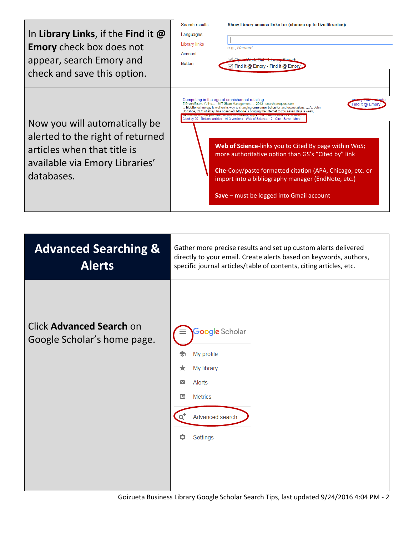| In Library Links, if the Find it $\omega$<br><b>Emory</b> check box does not<br>appear, search Emory and<br>check and save this option.          | Search results<br>Show library access links for (choose up to five libraries):<br>Languages<br><b>Library links</b><br>e.g., Harvard<br>Account<br><b>Button</b><br>√ Find it @ Emory - Find it @ Emory                                                                                                                                                                                                                                                                                                                                                                                                                                                                                                      |
|--------------------------------------------------------------------------------------------------------------------------------------------------|--------------------------------------------------------------------------------------------------------------------------------------------------------------------------------------------------------------------------------------------------------------------------------------------------------------------------------------------------------------------------------------------------------------------------------------------------------------------------------------------------------------------------------------------------------------------------------------------------------------------------------------------------------------------------------------------------------------|
| Now you will automatically be<br>alerted to the right of returned<br>articles when that title is<br>available via Emory Libraries'<br>databases. | Competing in the age of omnichannel retailing<br>E Bryniolfsson, YJ Hu - MIT Sloan Management , 2013 - search.proquest.com<br>Find it @ Emon<br>Mobile technology is well on its way to changing consumer behavior and expectations.  As John<br>Donahoe, CEO of eBay, has observed: Mobile is bringing the Internet to you seven days a week,<br>Cited by 90 Related articles All 3 versions Web of Science: 12 Cite<br>Save<br>Web of Science-links you to Cited By page within WoS;<br>more authoritative option than GS's "Cited by" link<br>Cite-Copy/paste formatted citation (APA, Chicago, etc. or<br>import into a bibliography manager (EndNote, etc.)<br>Save - must be logged into Gmail account |
|                                                                                                                                                  |                                                                                                                                                                                                                                                                                                                                                                                                                                                                                                                                                                                                                                                                                                              |
| <b>Advanced Searching &amp;</b><br><b>Alerts</b>                                                                                                 | Gather more precise results and set up custom alerts delivered<br>directly to your email. Create alerts based on keywords, authors,<br>specific journal articles/table of contents, citing articles, etc.                                                                                                                                                                                                                                                                                                                                                                                                                                                                                                    |
| <b>Click Advanced Search on</b><br>Google Scholar's home page.                                                                                   | Google Scholar<br>My profile<br>My library<br><b>Alerts</b><br>$\scriptstyle\sim$<br><b>Metrics</b><br>▥<br>Advanced search<br>o.<br>Settings<br>o                                                                                                                                                                                                                                                                                                                                                                                                                                                                                                                                                           |

Goizueta Business Library Google Scholar Search Tips, last updated 9/24/2016 4:04 PM - 2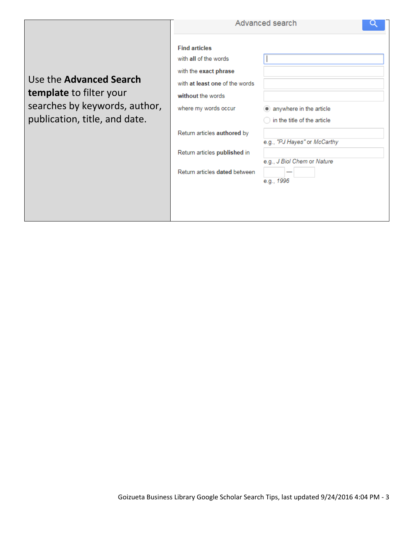|                                                                                                                      |                                                                                                                                                                                                                                                       | Advanced search                                                                                                                     |
|----------------------------------------------------------------------------------------------------------------------|-------------------------------------------------------------------------------------------------------------------------------------------------------------------------------------------------------------------------------------------------------|-------------------------------------------------------------------------------------------------------------------------------------|
| Use the Advanced Search<br>template to filter your<br>searches by keywords, author,<br>publication, title, and date. | <b>Find articles</b><br>with all of the words<br>with the exact phrase<br>with at least one of the words<br>without the words<br>where my words occur<br>Return articles authored by<br>Return articles published in<br>Return articles dated between | anywhere in the article<br>in the title of the article<br>e.g., "PJ Hayes" or McCarthy<br>e.g., J Biol Chem or Nature<br>e.g., 1996 |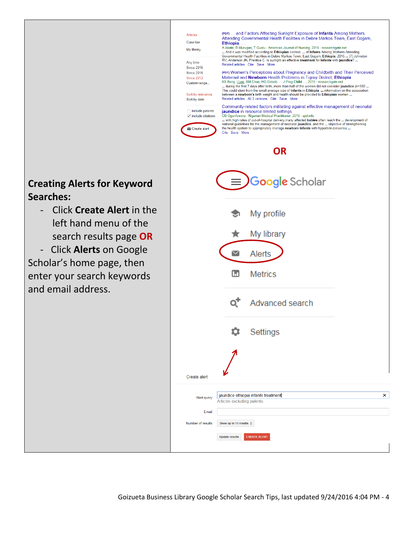## **Creating Alerts for Keyword Searches:**

- Click **Create Alert** in the left hand menu of the search results page **OR**
- Click **Alerts** on Google Scholar's home page, then enter your search keywords and email address.

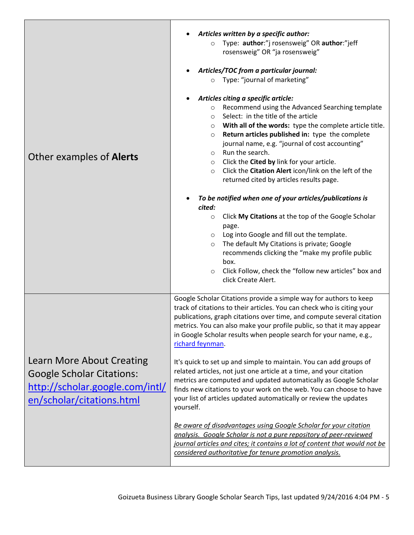| Other examples of <b>Alerts</b>                                                                                               | Articles written by a specific author:<br>Type: author:"j rosensweig" OR author:"jeff<br>$\circ$<br>rosensweig" OR "ja rosensweig"<br>Articles/TOC from a particular journal:<br>Type: "journal of marketing"<br>$\circ$<br>Articles citing a specific article:<br>Recommend using the Advanced Searching template<br>$\circ$<br>Select: in the title of the article<br>$\circ$<br>With all of the words: type the complete article title.<br>$\circ$<br>Return articles published in: type the complete<br>$\circ$<br>journal name, e.g. "journal of cost accounting"<br>Run the search.<br>$\circ$<br>Click the Cited by link for your article.<br>$\circ$<br>Click the Citation Alert icon/link on the left of the<br>$\circ$<br>returned cited by articles results page.<br>To be notified when one of your articles/publications is<br>cited:<br>Click My Citations at the top of the Google Scholar<br>$\circ$<br>page.<br>Log into Google and fill out the template.<br>O<br>The default My Citations is private; Google<br>$\circ$<br>recommends clicking the "make my profile public<br>box.<br>Click Follow, check the "follow new articles" box and<br>$\circ$<br>click Create Alert. |  |
|-------------------------------------------------------------------------------------------------------------------------------|--------------------------------------------------------------------------------------------------------------------------------------------------------------------------------------------------------------------------------------------------------------------------------------------------------------------------------------------------------------------------------------------------------------------------------------------------------------------------------------------------------------------------------------------------------------------------------------------------------------------------------------------------------------------------------------------------------------------------------------------------------------------------------------------------------------------------------------------------------------------------------------------------------------------------------------------------------------------------------------------------------------------------------------------------------------------------------------------------------------------------------------------------------------------------------------------------|--|
| Learn More About Creating<br><b>Google Scholar Citations:</b><br>http://scholar.google.com/intl/<br>en/scholar/citations.html | Google Scholar Citations provide a simple way for authors to keep<br>track of citations to their articles. You can check who is citing your<br>publications, graph citations over time, and compute several citation<br>metrics. You can also make your profile public, so that it may appear<br>in Google Scholar results when people search for your name, e.g.,<br>richard feynman.<br>It's quick to set up and simple to maintain. You can add groups of<br>related articles, not just one article at a time, and your citation<br>metrics are computed and updated automatically as Google Scholar<br>finds new citations to your work on the web. You can choose to have<br>your list of articles updated automatically or review the updates<br>yourself.<br>Be aware of disadvantages using Google Scholar for your citation<br>analysis. Google Scholar is not a pure repository of peer-reviewed<br>journal articles and cites; it contains a lot of content that would not be<br>considered authoritative for tenure promotion analysis.                                                                                                                                              |  |